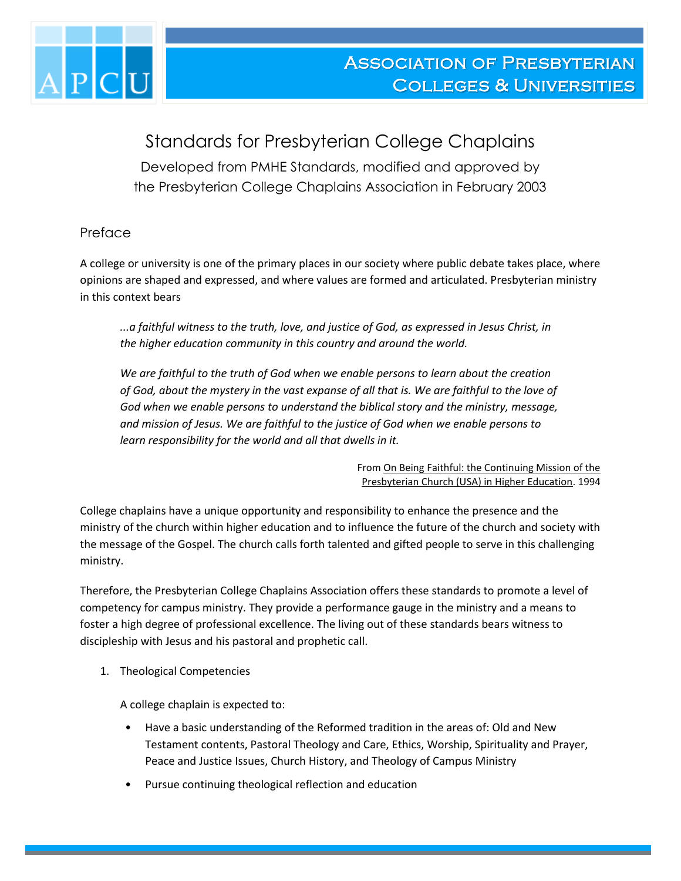

## Standards for Presbyterian College Chaplains

Developed from PMHE Standards, modified and approved by the Presbyterian College Chaplains Association in February 2003

## Preface

A college or university is one of the primary places in our society where public debate takes place, where opinions are shaped and expressed, and where values are formed and articulated. Presbyterian ministry in this context bears

*...a faithful witness to the truth, love, and justice of God, as expressed in Jesus Christ, in the higher education community in this country and around the world.* 

*We are faithful to the truth of God when we enable persons to learn about the creation of God, about the mystery in the vast expanse of all that is. We are faithful to the love of God when we enable persons to understand the biblical story and the ministry, message, and mission of Jesus. We are faithful to the justice of God when we enable persons to learn responsibility for the world and all that dwells in it.*

> From On Being Faithful: the Continuing Mission of the Presbyterian Church (USA) in Higher Education. 1994

College chaplains have a unique opportunity and responsibility to enhance the presence and the ministry of the church within higher education and to influence the future of the church and society with the message of the Gospel. The church calls forth talented and gifted people to serve in this challenging ministry.

Therefore, the Presbyterian College Chaplains Association offers these standards to promote a level of competency for campus ministry. They provide a performance gauge in the ministry and a means to foster a high degree of professional excellence. The living out of these standards bears witness to discipleship with Jesus and his pastoral and prophetic call.

1. Theological Competencies

A college chaplain is expected to:

- Have a basic understanding of the Reformed tradition in the areas of: Old and New Testament contents, Pastoral Theology and Care, Ethics, Worship, Spirituality and Prayer, Peace and Justice Issues, Church History, and Theology of Campus Ministry
- Pursue continuing theological reflection and education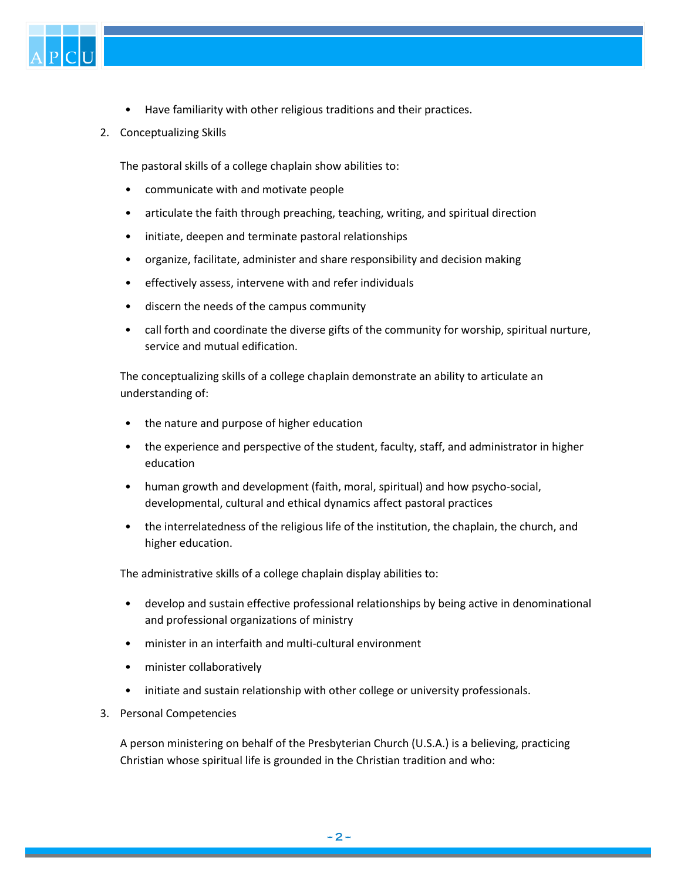

- Have familiarity with other religious traditions and their practices.
- 2. Conceptualizing Skills

The pastoral skills of a college chaplain show abilities to:

- communicate with and motivate people
- articulate the faith through preaching, teaching, writing, and spiritual direction
- initiate, deepen and terminate pastoral relationships
- organize, facilitate, administer and share responsibility and decision making
- effectively assess, intervene with and refer individuals
- discern the needs of the campus community
- call forth and coordinate the diverse gifts of the community for worship, spiritual nurture, service and mutual edification.

The conceptualizing skills of a college chaplain demonstrate an ability to articulate an understanding of:

- the nature and purpose of higher education
- the experience and perspective of the student, faculty, staff, and administrator in higher education
- human growth and development (faith, moral, spiritual) and how psycho-social, developmental, cultural and ethical dynamics affect pastoral practices
- the interrelatedness of the religious life of the institution, the chaplain, the church, and higher education.

The administrative skills of a college chaplain display abilities to:

- develop and sustain effective professional relationships by being active in denominational and professional organizations of ministry
- minister in an interfaith and multi-cultural environment
- minister collaboratively
- initiate and sustain relationship with other college or university professionals.
- 3. Personal Competencies

A person ministering on behalf of the Presbyterian Church (U.S.A.) is a believing, practicing Christian whose spiritual life is grounded in the Christian tradition and who: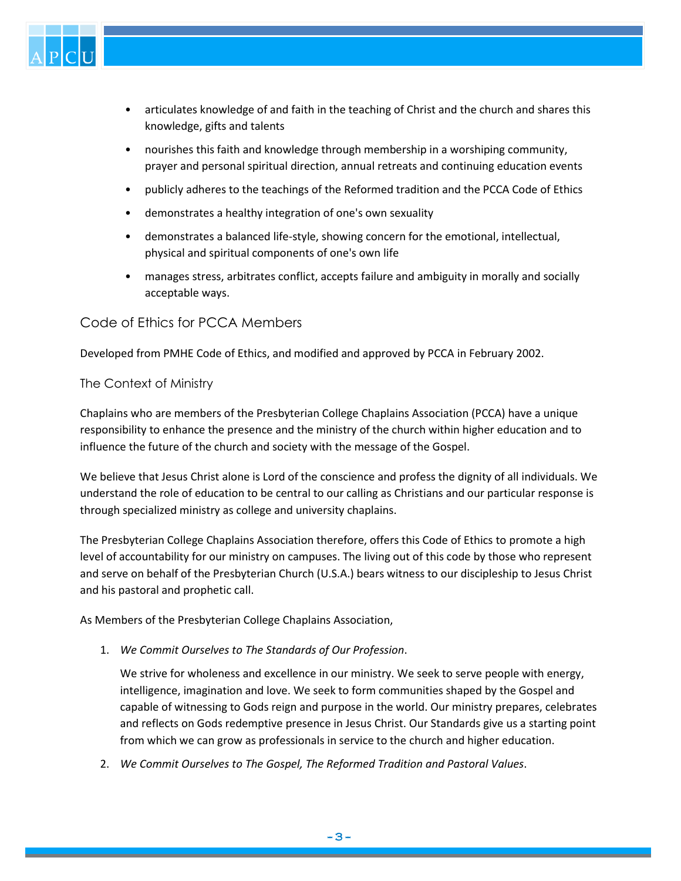

- articulates knowledge of and faith in the teaching of Christ and the church and shares this knowledge, gifts and talents
- nourishes this faith and knowledge through membership in a worshiping community, prayer and personal spiritual direction, annual retreats and continuing education events
- publicly adheres to the teachings of the Reformed tradition and the PCCA Code of Ethics
- demonstrates a healthy integration of one's own sexuality
- demonstrates a balanced life-style, showing concern for the emotional, intellectual, physical and spiritual components of one's own life
- manages stress, arbitrates conflict, accepts failure and ambiguity in morally and socially acceptable ways.

## Code of Ethics for PCCA Members

Developed from PMHE Code of Ethics, and modified and approved by PCCA in February 2002.

## The Context of Ministry

Chaplains who are members of the Presbyterian College Chaplains Association (PCCA) have a unique responsibility to enhance the presence and the ministry of the church within higher education and to influence the future of the church and society with the message of the Gospel.

We believe that Jesus Christ alone is Lord of the conscience and profess the dignity of all individuals. We understand the role of education to be central to our calling as Christians and our particular response is through specialized ministry as college and university chaplains.

The Presbyterian College Chaplains Association therefore, offers this Code of Ethics to promote a high level of accountability for our ministry on campuses. The living out of this code by those who represent and serve on behalf of the Presbyterian Church (U.S.A.) bears witness to our discipleship to Jesus Christ and his pastoral and prophetic call.

As Members of the Presbyterian College Chaplains Association,

1. *We Commit Ourselves to The Standards of Our Profession*.

We strive for wholeness and excellence in our ministry. We seek to serve people with energy, intelligence, imagination and love. We seek to form communities shaped by the Gospel and capable of witnessing to Gods reign and purpose in the world. Our ministry prepares, celebrates and reflects on Gods redemptive presence in Jesus Christ. Our Standards give us a starting point from which we can grow as professionals in service to the church and higher education.

2. *We Commit Ourselves to The Gospel, The Reformed Tradition and Pastoral Values*.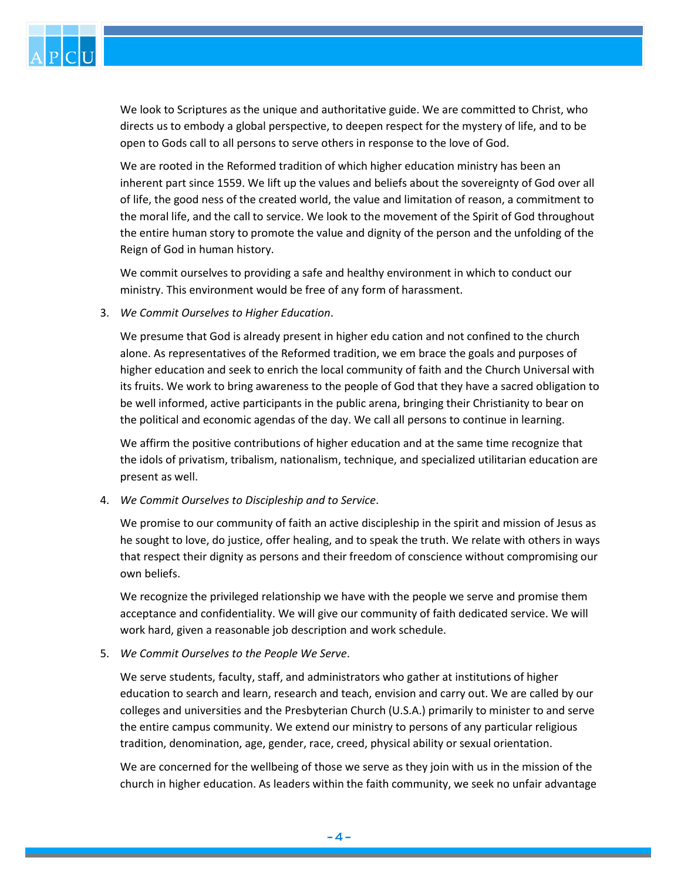

We look to Scriptures as the unique and authoritative guide. We are committed to Christ, who directs us to embody a global perspective, to deepen respect for the mystery of life, and to be open to Gods call to all persons to serve others in response to the love of God.

We are rooted in the Reformed tradition of which higher education ministry has been an inherent part since 1559. We lift up the values and beliefs about the sovereignty of God over all of life, the good ness of the created world, the value and limitation of reason, a commitment to the moral life, and the call to service. We look to the movement of the Spirit of God throughout the entire human story to promote the value and dignity of the person and the unfolding of the Reign of God in human history.

We commit ourselves to providing a safe and healthy environment in which to conduct our ministry. This environment would be free of any form of harassment.

3. *We Commit Ourselves to Higher Education*.

We presume that God is already present in higher edu cation and not confined to the church alone. As representatives of the Reformed tradition, we em brace the goals and purposes of higher education and seek to enrich the local community of faith and the Church Universal with its fruits. We work to bring awareness to the people of God that they have a sacred obligation to be well informed, active participants in the public arena, bringing their Christianity to bear on the political and economic agendas of the day. We call all persons to continue in learning.

We affirm the positive contributions of higher education and at the same time recognize that the idols of privatism, tribalism, nationalism, technique, and specialized utilitarian education are present as well.

4. *We Commit Ourselves to Discipleship and to Service*.

We promise to our community of faith an active discipleship in the spirit and mission of Jesus as he sought to love, do justice, offer healing, and to speak the truth. We relate with others in ways that respect their dignity as persons and their freedom of conscience without compromising our own beliefs.

We recognize the privileged relationship we have with the people we serve and promise them acceptance and confidentiality. We will give our community of faith dedicated service. We will work hard, given a reasonable job description and work schedule.

5. *We Commit Ourselves to the People We Serve*.

We serve students, faculty, staff, and administrators who gather at institutions of higher education to search and learn, research and teach, envision and carry out. We are called by our colleges and universities and the Presbyterian Church (U.S.A.) primarily to minister to and serve the entire campus community. We extend our ministry to persons of any particular religious tradition, denomination, age, gender, race, creed, physical ability or sexual orientation.

We are concerned for the wellbeing of those we serve as they join with us in the mission of the church in higher education. As leaders within the faith community, we seek no unfair advantage